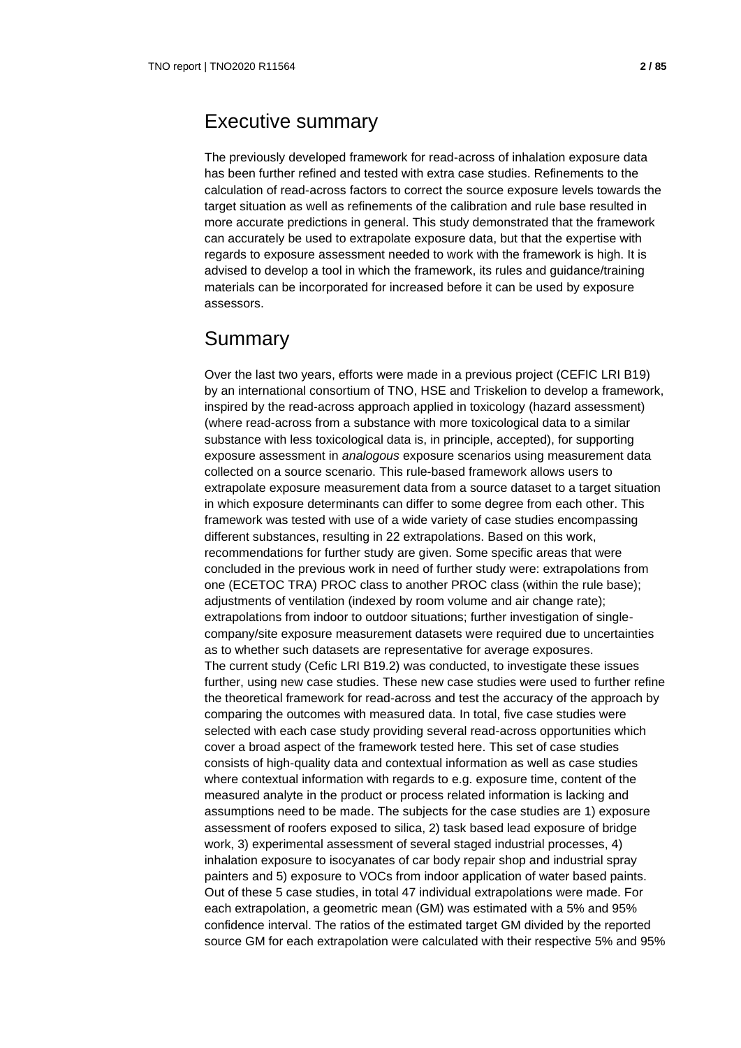## Executive summary

The previously developed framework for read-across of inhalation exposure data has been further refined and tested with extra case studies. Refinements to the calculation of read-across factors to correct the source exposure levels towards the target situation as well as refinements of the calibration and rule base resulted in more accurate predictions in general. This study demonstrated that the framework can accurately be used to extrapolate exposure data, but that the expertise with regards to exposure assessment needed to work with the framework is high. It is advised to develop a tool in which the framework, its rules and guidance/training materials can be incorporated for increased before it can be used by exposure assessors.

## Summary

Over the last two years, efforts were made in a previous project (CEFIC LRI B19) by an international consortium of TNO, HSE and Triskelion to develop a framework, inspired by the read-across approach applied in toxicology (hazard assessment) (where read-across from a substance with more toxicological data to a similar substance with less toxicological data is, in principle, accepted), for supporting exposure assessment in *analogous* exposure scenarios using measurement data collected on a source scenario. This rule-based framework allows users to extrapolate exposure measurement data from a source dataset to a target situation in which exposure determinants can differ to some degree from each other. This framework was tested with use of a wide variety of case studies encompassing different substances, resulting in 22 extrapolations. Based on this work, recommendations for further study are given. Some specific areas that were concluded in the previous work in need of further study were: extrapolations from one (ECETOC TRA) PROC class to another PROC class (within the rule base); adjustments of ventilation (indexed by room volume and air change rate); extrapolations from indoor to outdoor situations; further investigation of singlecompany/site exposure measurement datasets were required due to uncertainties as to whether such datasets are representative for average exposures. The current study (Cefic LRI B19.2) was conducted, to investigate these issues further, using new case studies. These new case studies were used to further refine the theoretical framework for read-across and test the accuracy of the approach by comparing the outcomes with measured data. In total, five case studies were selected with each case study providing several read-across opportunities which cover a broad aspect of the framework tested here. This set of case studies consists of high-quality data and contextual information as well as case studies where contextual information with regards to e.g. exposure time, content of the measured analyte in the product or process related information is lacking and assumptions need to be made. The subjects for the case studies are 1) exposure assessment of roofers exposed to silica, 2) task based lead exposure of bridge work, 3) experimental assessment of several staged industrial processes, 4) inhalation exposure to isocyanates of car body repair shop and industrial spray painters and 5) exposure to VOCs from indoor application of water based paints. Out of these 5 case studies, in total 47 individual extrapolations were made. For each extrapolation, a geometric mean (GM) was estimated with a 5% and 95% confidence interval. The ratios of the estimated target GM divided by the reported source GM for each extrapolation were calculated with their respective 5% and 95%